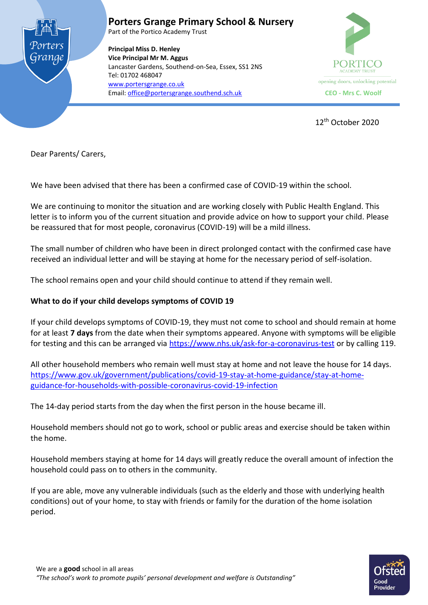

**Porters Grange Primary School & Nursery**

Part of the Portico Academy Trust

**Principal Miss D. Henley Vice Principal Mr M. Aggus** Lancaster Gardens, Southend-on-Sea, Essex, SS1 2NS Tel: 01702 468047 [www.portersgrange.co.uk](http://www.portersgrange.co.uk/) Email[: office@portersgrange.southend.sch.uk](mailto:office@portersgrange.southend.sch.uk) **CEO - Mrs C. Woolf**



12th October 2020

Dear Parents/ Carers,

We have been advised that there has been a confirmed case of COVID-19 within the school.

We are continuing to monitor the situation and are working closely with Public Health England. This letter is to inform you of the current situation and provide advice on how to support your child. Please be reassured that for most people, coronavirus (COVID-19) will be a mild illness.

The small number of children who have been in direct prolonged contact with the confirmed case have received an individual letter and will be staying at home for the necessary period of self-isolation.

The school remains open and your child should continue to attend if they remain well.

# **What to do if your child develops symptoms of COVID 19**

If your child develops symptoms of COVID-19, they must not come to school and should remain at home for at least **7 days** from the date when their symptoms appeared. Anyone with symptoms will be eligible for testing and this can be arranged via<https://www.nhs.uk/ask-for-a-coronavirus-test> or by calling 119.

All other household members who remain well must stay at home and not leave the house for 14 days. [https://www.gov.uk/government/publications/covid-19-stay-at-home-guidance/stay-at-home](https://www.gov.uk/government/publications/covid-19-stay-at-home-guidance/stay-at-home-guidance-for-households-with-possible-coronavirus-covid-19-infection)[guidance-for-households-with-possible-coronavirus-covid-19-infection](https://www.gov.uk/government/publications/covid-19-stay-at-home-guidance/stay-at-home-guidance-for-households-with-possible-coronavirus-covid-19-infection)

The 14-day period starts from the day when the first person in the house became ill.

Household members should not go to work, school or public areas and exercise should be taken within the home.

Household members staying at home for 14 days will greatly reduce the overall amount of infection the household could pass on to others in the community.

If you are able, move any vulnerable individuals (such as the elderly and those with underlying health conditions) out of your home, to stay with friends or family for the duration of the home isolation period.